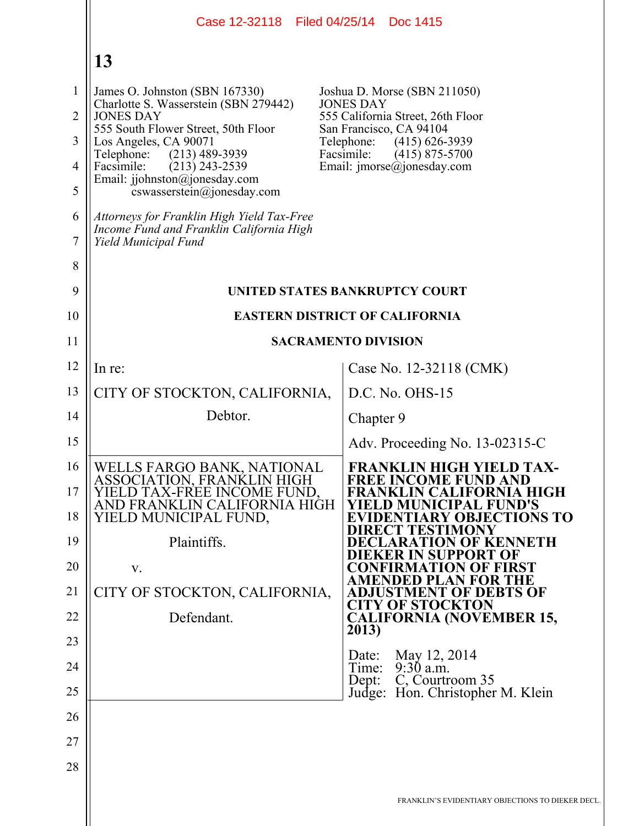|                | Case 12-32118   Filed 04/25/14   Doc 1415                                                                      |                                                                          |
|----------------|----------------------------------------------------------------------------------------------------------------|--------------------------------------------------------------------------|
|                | 13                                                                                                             |                                                                          |
| $\mathbf{1}$   | James O. Johnston (SBN 167330)                                                                                 | Joshua D. Morse (SBN 211050)                                             |
| $\overline{2}$ | Charlotte S. Wasserstein (SBN 279442)<br><b>JONES DAY</b>                                                      | <b>JONES DAY</b><br>555 California Street, 26th Floor                    |
| 3              | 555 South Flower Street, 50th Floor<br>Los Angeles, CA 90071                                                   | San Francisco, CA 94104<br>Telephone:<br>$(415)$ 626-3939                |
| $\overline{4}$ | $(213)$ 489-3939<br>Telephone:<br>Facsimile:<br>$(213)$ 243-2539                                               | Facsimile:<br>$(415)$ 875-5700<br>Email: $\text{imorse}(a)$ jonesday.com |
| 5              | Email: jjohnston@jonesday.com<br>$coswasserstein(\theta)$ ionesday.com                                         |                                                                          |
| 6<br>7         | Attorneys for Franklin High Yield Tax-Free<br>Income Fund and Franklin California High<br>Yield Municipal Fund |                                                                          |
| 8              |                                                                                                                |                                                                          |
| 9              |                                                                                                                | UNITED STATES BANKRUPTCY COURT                                           |
| 10             | <b>EASTERN DISTRICT OF CALIFORNIA</b>                                                                          |                                                                          |
| 11             |                                                                                                                | <b>SACRAMENTO DIVISION</b>                                               |
| 12             | In re:                                                                                                         | Case No. 12-32118 (CMK)                                                  |
| 13             | CITY OF STOCKTON, CALIFORNIA,                                                                                  | D.C. No. OHS-15                                                          |
| 14             | Debtor.                                                                                                        | Chapter 9                                                                |
| 15             |                                                                                                                | Adv. Proceeding No. 13-02315-C                                           |
| 16             | WELLS FARGO BANK, NATIONAL<br>ASSOCIATION, FRANKLIN HIGH                                                       | <b>FRANKLIN HIGH YIELD TAX-</b><br><b>FREE INCOME FUND AND</b>           |
| 17             | IELD TAX-FREE INCOME FUND.<br>AND FRANKLIN CALIFORNIA HIGH                                                     | FRANKLIN CALIFORNIA HIGH<br>ELD MUNICIPAL FUND'S                         |
| 18             | YIELD MUNICIPAL FUND,                                                                                          | <b>EVIDENTIARY OBJECTIONS TO</b><br><b>IRECT TESTIMONY</b>               |
| 19             | Plaintiffs.                                                                                                    | <b>DECLARATION OF KENNETH</b><br>IEKER IN SUPPORT OF                     |
| 20             | V.                                                                                                             | <b>CONFIRMATION OF FIRST</b><br><b>AMENDED PLAN FOR THE</b>              |
| 21             | CITY OF STOCKTON, CALIFORNIA,                                                                                  | <b>ADJUSTMENT OF DEBTS OF</b><br><b>CITY OF STOCKTON</b>                 |
| 22             | Defendant.                                                                                                     | <b>CALIFORNIA (NOVEMBER 15,</b><br>2013)                                 |
| 23             |                                                                                                                | May 12, 2014<br>Date:                                                    |
| 24             |                                                                                                                | $9:30$ a.m.<br>Time:<br>C, Courtroom 35<br>Dept:                         |
| 25             |                                                                                                                | Judge: Hon. Christopher M. Klein                                         |
| 26             |                                                                                                                |                                                                          |
| 27             |                                                                                                                |                                                                          |
| 28             |                                                                                                                |                                                                          |
|                |                                                                                                                | FRANKLIN'S EVIDENTIARY OBJECTIONS TO DIEKER DECL.                        |
|                |                                                                                                                |                                                                          |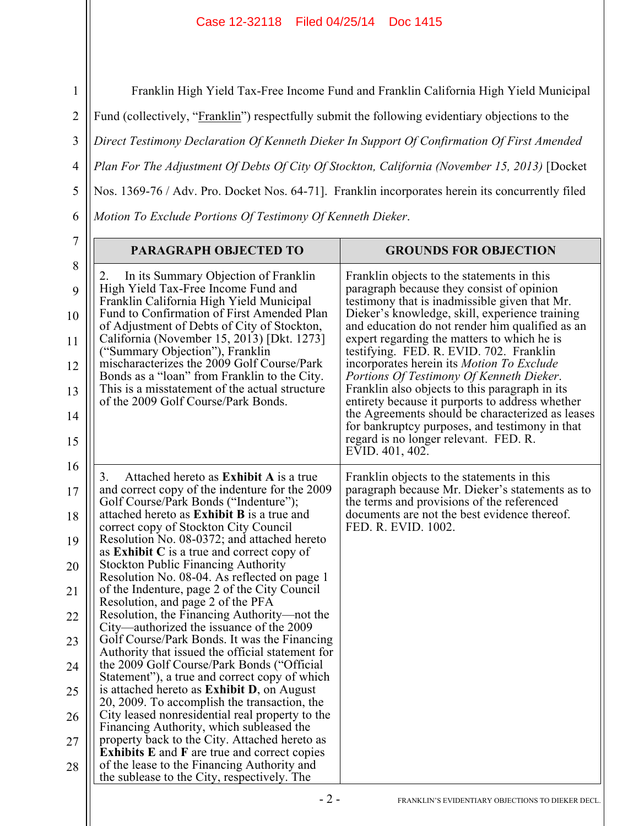1 3 4 5 6 Franklin High Yield Tax-Free Income Fund and Franklin California High Yield Municipal Fund (collectively, "Franklin") respectfully submit the following evidentiary objections to the *Direct Testimony Declaration Of Kenneth Dieker In Support Of Confirmation Of First Amended Plan For The Adjustment Of Debts Of City Of Stockton, California (November 15, 2013)* [Docket Nos. 1369-76 / Adv. Pro. Docket Nos. 64-71]. Franklin incorporates herein its concurrently filed *Motion To Exclude Portions Of Testimony Of Kenneth Dieker*.

|                                                                                                                                                                                                                                                                                                                                                                                                                                                                                                                                                                                                                                                                                                                                                                                                                                                                                                                                                                                                                                                                                                                                                                                                        | <b>GROUNDS FOR OBJECTION</b>                                                                                                                                                                                                                                                                                                                                                                                                                                                                                                                                                                                                                                                                            |
|--------------------------------------------------------------------------------------------------------------------------------------------------------------------------------------------------------------------------------------------------------------------------------------------------------------------------------------------------------------------------------------------------------------------------------------------------------------------------------------------------------------------------------------------------------------------------------------------------------------------------------------------------------------------------------------------------------------------------------------------------------------------------------------------------------------------------------------------------------------------------------------------------------------------------------------------------------------------------------------------------------------------------------------------------------------------------------------------------------------------------------------------------------------------------------------------------------|---------------------------------------------------------------------------------------------------------------------------------------------------------------------------------------------------------------------------------------------------------------------------------------------------------------------------------------------------------------------------------------------------------------------------------------------------------------------------------------------------------------------------------------------------------------------------------------------------------------------------------------------------------------------------------------------------------|
| In its Summary Objection of Franklin<br>2.<br>High Yield Tax-Free Income Fund and<br>Franklin California High Yield Municipal<br>Fund to Confirmation of First Amended Plan<br>of Adjustment of Debts of City of Stockton,<br>California (November 15, 2013) [Dkt. 1273]<br>("Summary Objection"), Franklin<br>mischaracterizes the 2009 Golf Course/Park<br>Bonds as a "loan" from Franklin to the City.<br>This is a misstatement of the actual structure<br>of the 2009 Golf Course/Park Bonds.                                                                                                                                                                                                                                                                                                                                                                                                                                                                                                                                                                                                                                                                                                     | Franklin objects to the statements in this<br>paragraph because they consist of opinion<br>testimony that is inadmissible given that Mr.<br>Dieker's knowledge, skill, experience training<br>and education do not render him qualified as an<br>expert regarding the matters to which he is<br>testifying. FED. R. EVID. 702. Franklin<br>incorporates herein its Motion To Exclude<br>Portions Of Testimony Of Kenneth Dieker.<br>Franklin also objects to this paragraph in its<br>entirety because it purports to address whether<br>the Agreements should be characterized as leases<br>for bankruptcy purposes, and testimony in that<br>regard is no longer relevant. FED. R.<br>EVID. 401, 402. |
| Attached hereto as <b>Exhibit</b> A is a true<br>3.<br>and correct copy of the indenture for the 2009<br>Golf Course/Park Bonds ("Indenture");<br>attached hereto as <b>Exhibit B</b> is a true and<br>correct copy of Stockton City Council<br>Resolution No. 08-0372; and attached hereto<br>as <b>Exhibit</b> $C$ is a true and correct copy of<br><b>Stockton Public Financing Authority</b><br>Resolution No. 08-04. As reflected on page 1<br>of the Indenture, page 2 of the City Council<br>Resolution, and page 2 of the PFA<br>Resolution, the Financing Authority—not the<br>City—authorized the issuance of the 2009<br>Golf Course/Park Bonds. It was the Financing<br>Authority that issued the official statement for<br>the 2009 Golf Course/Park Bonds ("Official<br>Statement"), a true and correct copy of which<br>is attached hereto as <b>Exhibit D</b> , on August<br>20, 2009. To accomplish the transaction, the<br>City leased nonresidential real property to the<br>Financing Authority, which subleased the<br>property back to the City. Attached hereto as<br><b>Exhibits E</b> and <b>F</b> are true and correct copies<br>of the lease to the Financing Authority and | Franklin objects to the statements in this<br>paragraph because Mr. Dieker's statements as to<br>the terms and provisions of the referenced<br>documents are not the best evidence thereof.<br>FED. R. EVID. 1002.                                                                                                                                                                                                                                                                                                                                                                                                                                                                                      |

7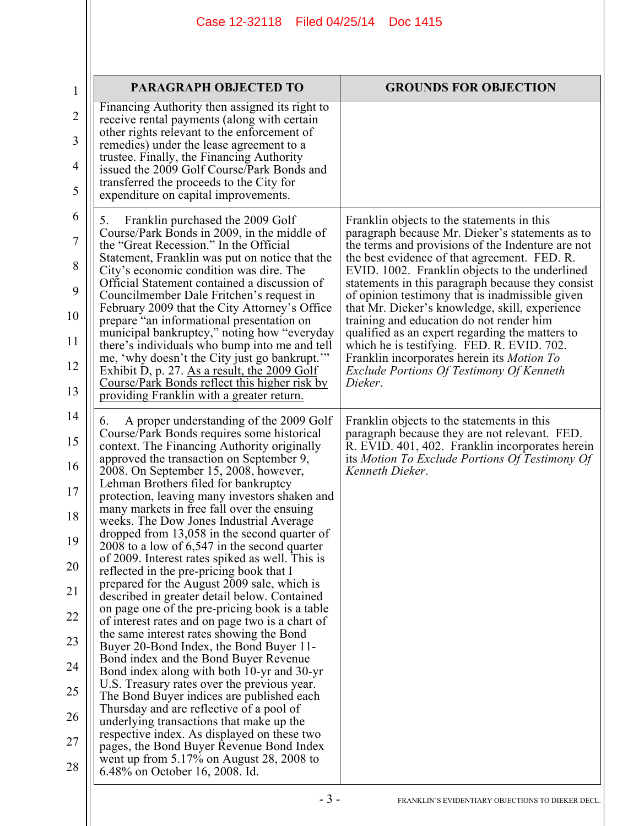| $\mathbf{1}$        | <b>PARAGRAPH OBJECTED TO</b>                                                                                                                 | <b>GROUNDS FOR OBJECTION</b>                                                                                                                        |
|---------------------|----------------------------------------------------------------------------------------------------------------------------------------------|-----------------------------------------------------------------------------------------------------------------------------------------------------|
| $\overline{2}$      | Financing Authority then assigned its right to<br>receive rental payments (along with certain<br>other rights relevant to the enforcement of |                                                                                                                                                     |
| 3                   | remedies) under the lease agreement to a<br>trustee. Finally, the Financing Authority                                                        |                                                                                                                                                     |
| $\overline{4}$<br>5 | issued the 2009 Golf Course/Park Bonds and<br>transferred the proceeds to the City for<br>expenditure on capital improvements.               |                                                                                                                                                     |
| 6                   | Franklin purchased the 2009 Golf<br>5.                                                                                                       | Franklin objects to the statements in this                                                                                                          |
| $\tau$              | Course/Park Bonds in 2009, in the middle of<br>the "Great Recession." In the Official                                                        | paragraph because Mr. Dieker's statements as to<br>the terms and provisions of the Indenture are not                                                |
| 8                   | Statement, Franklin was put on notice that the<br>City's economic condition was dire. The<br>Official Statement contained a discussion of    | the best evidence of that agreement. FED. R.<br>EVID. 1002. Franklin objects to the underlined<br>statements in this paragraph because they consist |
| 9<br>10             | Councilmember Dale Fritchen's request in<br>February 2009 that the City Attorney's Office                                                    | of opinion testimony that is inadmissible given<br>that Mr. Dieker's knowledge, skill, experience                                                   |
| 11                  | prepare "an informational presentation on<br>municipal bankruptcy," noting how "everyday<br>there's individuals who bump into me and tell    | training and education do not render him<br>qualified as an expert regarding the matters to<br>which he is testifying. FED. R. EVID. 702.           |
| 12                  | me, 'why doesn't the City just go bankrupt."<br>Exhibit D, p. 27. As a result, the 2009 Golf                                                 | Franklin incorporates herein its Motion To<br>Exclude Portions Of Testimony Of Kenneth                                                              |
| 13                  | Course/Park Bonds reflect this higher risk by<br>providing Franklin with a greater return.                                                   | Dieker.                                                                                                                                             |
| 14                  | A proper understanding of the 2009 Golf<br>6.                                                                                                | Franklin objects to the statements in this                                                                                                          |
| 15                  | Course/Park Bonds requires some historical<br>context. The Financing Authority originally<br>approved the transaction on September 9,        | paragraph because they are not relevant. FED.<br>R. EVID. 401, 402. Franklin incorporates herein<br>its Motion To Exclude Portions Of Testimony Of  |
| 16<br>17            | 2008. On September 15, 2008, however,<br>Lehman Brothers filed for bankruptcy                                                                | Kenneth Dieker.                                                                                                                                     |
| 18                  | protection, leaving many investors shaken and<br>many markets in free fall over the ensuing<br>weeks. The Dow Jones Industrial Average       |                                                                                                                                                     |
| 19                  | dropped from 13,058 in the second quarter of<br>2008 to a low of $6,547$ in the second quarter                                               |                                                                                                                                                     |
| 20                  | of 2009. Interest rates spiked as well. This is<br>reflected in the pre-pricing book that I                                                  |                                                                                                                                                     |
| 21                  | prepared for the August 2009 sale, which is<br>described in greater detail below. Contained                                                  |                                                                                                                                                     |
| 22                  | on page one of the pre-pricing book is a table<br>of interest rates and on page two is a chart of                                            |                                                                                                                                                     |
| 23                  | the same interest rates showing the Bond<br>Buyer 20-Bond Index, the Bond Buyer 11-                                                          |                                                                                                                                                     |
| 24                  | Bond index and the Bond Buyer Revenue<br>Bond index along with both 10-yr and 30-yr                                                          |                                                                                                                                                     |
| 25                  | U.S. Treasury rates over the previous year.<br>The Bond Buyer indices are published each                                                     |                                                                                                                                                     |
| 26                  | Thursday and are reflective of a pool of<br>underlying transactions that make up the                                                         |                                                                                                                                                     |
| 27                  | respective index. As displayed on these two<br>pages, the Bond Buyer Revenue Bond Index                                                      |                                                                                                                                                     |
| 28                  | went up from $5.17\%$ on August 28, 2008 to<br>6.48% on October 16, 2008. Id.                                                                |                                                                                                                                                     |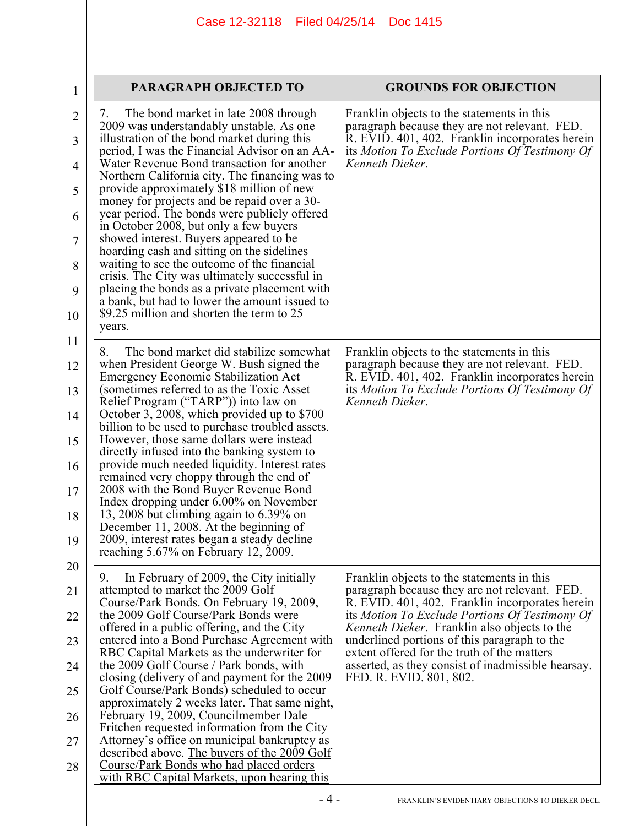| 1                        | PARAGRAPH OBJECTED TO                                                                                                                                                                                                                                                                               | <b>GROUNDS FOR OBJECTION</b>                                                                                                                                                                                        |
|--------------------------|-----------------------------------------------------------------------------------------------------------------------------------------------------------------------------------------------------------------------------------------------------------------------------------------------------|---------------------------------------------------------------------------------------------------------------------------------------------------------------------------------------------------------------------|
| $\overline{2}$<br>3<br>4 | The bond market in late 2008 through<br>$\mathcal{L}$ .<br>2009 was understandably unstable. As one<br>illustration of the bond market during this<br>period, I was the Financial Advisor on an AA-<br>Water Revenue Bond transaction for another<br>Northern California city. The financing was to | Franklin objects to the statements in this<br>paragraph because they are not relevant. FED.<br>R. EVID. 401, 402. Franklin incorporates herein<br>its Motion To Exclude Portions Of Testimony Of<br>Kenneth Dieker. |
| 5                        | provide approximately \$18 million of new<br>money for projects and be repaid over a 30-                                                                                                                                                                                                            |                                                                                                                                                                                                                     |
| 6                        | year period. The bonds were publicly offered<br>in October 2008, but only a few buyers                                                                                                                                                                                                              |                                                                                                                                                                                                                     |
| 7<br>8                   | showed interest. Buyers appeared to be<br>hoarding cash and sitting on the sidelines<br>waiting to see the outcome of the financial                                                                                                                                                                 |                                                                                                                                                                                                                     |
| 9                        | crisis. The City was ultimately successful in<br>placing the bonds as a private placement with                                                                                                                                                                                                      |                                                                                                                                                                                                                     |
| 10                       | a bank, but had to lower the amount issued to<br>\$9.25 million and shorten the term to 25<br>years.                                                                                                                                                                                                |                                                                                                                                                                                                                     |
| 11                       | The bond market did stabilize somewhat<br>8.                                                                                                                                                                                                                                                        | Franklin objects to the statements in this                                                                                                                                                                          |
| 12<br>13                 | when President George W. Bush signed the<br>Emergency Economic Stabilization Act<br>(sometimes referred to as the Toxic Asset)                                                                                                                                                                      | paragraph because they are not relevant. FED.<br>R. EVID. 401, 402. Franklin incorporates herein<br>its Motion To Exclude Portions Of Testimony Of                                                                  |
| 14                       | Relief Program ("TARP")) into law on<br>October 3, 2008, which provided up to \$700                                                                                                                                                                                                                 | Kenneth Dieker.                                                                                                                                                                                                     |
| 15                       | billion to be used to purchase troubled assets.<br>However, those same dollars were instead<br>directly infused into the banking system to                                                                                                                                                          |                                                                                                                                                                                                                     |
| 16                       | provide much needed liquidity. Interest rates<br>remained very choppy through the end of                                                                                                                                                                                                            |                                                                                                                                                                                                                     |
| 17                       | 2008 with the Bond Buyer Revenue Bond<br>Index dropping under 6.00% on November                                                                                                                                                                                                                     |                                                                                                                                                                                                                     |
| 18                       | 13, 2008 but climbing again to $6.39\%$ on<br>December 11, 2008. At the beginning of                                                                                                                                                                                                                |                                                                                                                                                                                                                     |
| 19<br>20                 | 2009, interest rates began a steady decline<br>reaching 5.67% on February 12, 2009.                                                                                                                                                                                                                 |                                                                                                                                                                                                                     |
| 21                       | In February of 2009, the City initially<br>9.<br>attempted to market the 2009 Golf                                                                                                                                                                                                                  | Franklin objects to the statements in this<br>paragraph because they are not relevant. FED.                                                                                                                         |
| 22                       | Course/Park Bonds. On February 19, 2009,<br>the 2009 Golf Course/Park Bonds were                                                                                                                                                                                                                    | R. EVID. 401, 402. Franklin incorporates herein<br>its Motion To Exclude Portions Of Testimony Of                                                                                                                   |
| 23                       | offered in a public offering, and the City<br>entered into a Bond Purchase Agreement with                                                                                                                                                                                                           | <i>Kenneth Dieker.</i> Franklin also objects to the<br>underlined portions of this paragraph to the                                                                                                                 |
| 24                       | RBC Capital Markets as the underwriter for<br>the 2009 Golf Course / Park bonds, with                                                                                                                                                                                                               | extent offered for the truth of the matters<br>asserted, as they consist of inadmissible hearsay.                                                                                                                   |
| 25                       | closing (delivery of and payment for the 2009)<br>Golf Course/Park Bonds) scheduled to occur                                                                                                                                                                                                        | FED. R. EVID. 801, 802.                                                                                                                                                                                             |
| 26                       | approximately 2 weeks later. That same night,<br>February 19, 2009, Councilmember Dale                                                                                                                                                                                                              |                                                                                                                                                                                                                     |
| 27                       | Fritchen requested information from the City<br>Attorney's office on municipal bankruptcy as<br>described above. The buyers of the 2009 Golf                                                                                                                                                        |                                                                                                                                                                                                                     |
| 28                       | Course/Park Bonds who had placed orders<br>with RBC Capital Markets, upon hearing this                                                                                                                                                                                                              |                                                                                                                                                                                                                     |
|                          | - 4 -                                                                                                                                                                                                                                                                                               | FRANKLIN'S EVIDENTIARY OBJECTIONS TO DIEKER DECL.                                                                                                                                                                   |
|                          |                                                                                                                                                                                                                                                                                                     |                                                                                                                                                                                                                     |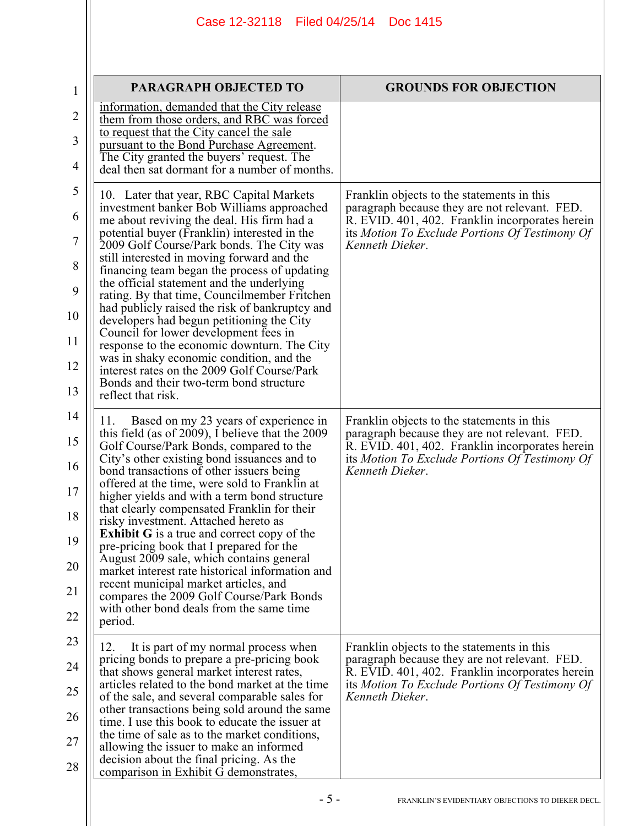| 1              | <b>PARAGRAPH OBJECTED TO</b>                                                                                                         | <b>GROUNDS FOR OBJECTION</b>                                                                      |
|----------------|--------------------------------------------------------------------------------------------------------------------------------------|---------------------------------------------------------------------------------------------------|
| $\overline{2}$ | information, demanded that the City release<br>them from those orders, and RBC was forced                                            |                                                                                                   |
| 3              | to request that the City cancel the sale<br>pursuant to the Bond Purchase Agreement.                                                 |                                                                                                   |
| 4              | The City granted the buyers' request. The<br>deal then sat dormant for a number of months.                                           |                                                                                                   |
| 5              | 10. Later that year, RBC Capital Markets                                                                                             | Franklin objects to the statements in this                                                        |
| 6              | investment banker Bob Williams approached<br>me about reviving the deal. His firm had a                                              | paragraph because they are not relevant. FED.<br>R. EVID. 401, 402. Franklin incorporates herein  |
| $\tau$         | potential buyer (Franklin) interested in the<br>2009 Golf Course/Park bonds. The City was                                            | its Motion To Exclude Portions Of Testimony Of<br>Kenneth Dieker.                                 |
| 8              | still interested in moving forward and the<br>financing team began the process of updating                                           |                                                                                                   |
| 9              | the official statement and the underlying<br>rating. By that time, Councilmember Fritchen                                            |                                                                                                   |
| 10             | had publicly raised the risk of bankruptcy and<br>developers had begun petitioning the City<br>Council for lower development fees in |                                                                                                   |
| 11             | response to the economic downturn. The City<br>was in shaky economic condition, and the                                              |                                                                                                   |
| 12             | interest rates on the 2009 Golf Course/Park<br>Bonds and their two-term bond structure                                               |                                                                                                   |
| 13             | reflect that risk.                                                                                                                   |                                                                                                   |
| 14             | Based on my 23 years of experience in<br>11.<br>this field (as of 2009), I believe that the 2009                                     | Franklin objects to the statements in this<br>paragraph because they are not relevant. FED.       |
| 15             | Golf Course/Park Bonds, compared to the<br>City's other existing bond issuances and to                                               | R. EVID. 401, 402. Franklin incorporates herein<br>its Motion To Exclude Portions Of Testimony Of |
| 16             | bond transactions of other issuers being<br>offered at the time, were sold to Franklin at                                            | Kenneth Dieker.                                                                                   |
| 17<br>18       | higher yields and with a term bond structure<br>that clearly compensated Franklin for their                                          |                                                                                                   |
| 19             | risky investment. Attached hereto as<br><b>Exhibit G</b> is a true and correct copy of the                                           |                                                                                                   |
| 20             | pre-pricing book that I prepared for the<br>August 2009 sale, which contains general                                                 |                                                                                                   |
| 21             | market interest rate historical information and<br>recent municipal market articles, and                                             |                                                                                                   |
| 22             | compares the 2009 Golf Course/Park Bonds<br>with other bond deals from the same time<br>period.                                      |                                                                                                   |
| 23             | It is part of my normal process when<br>12.                                                                                          | Franklin objects to the statements in this                                                        |
| 24             | pricing bonds to prepare a pre-pricing book<br>that shows general market interest rates,                                             | paragraph because they are not relevant. FED.<br>R. EVID. 401, 402. Franklin incorporates herein  |
| 25             | articles related to the bond market at the time<br>of the sale, and several comparable sales for                                     | its Motion To Exclude Portions Of Testimony Of<br>Kenneth Dieker.                                 |
| 26             | other transactions being sold around the same<br>time. I use this book to educate the issuer at                                      |                                                                                                   |
| 27             | the time of sale as to the market conditions,<br>allowing the issuer to make an informed                                             |                                                                                                   |
| 28             | decision about the final pricing. As the<br>comparison in Exhibit G demonstrates,                                                    |                                                                                                   |
|                |                                                                                                                                      |                                                                                                   |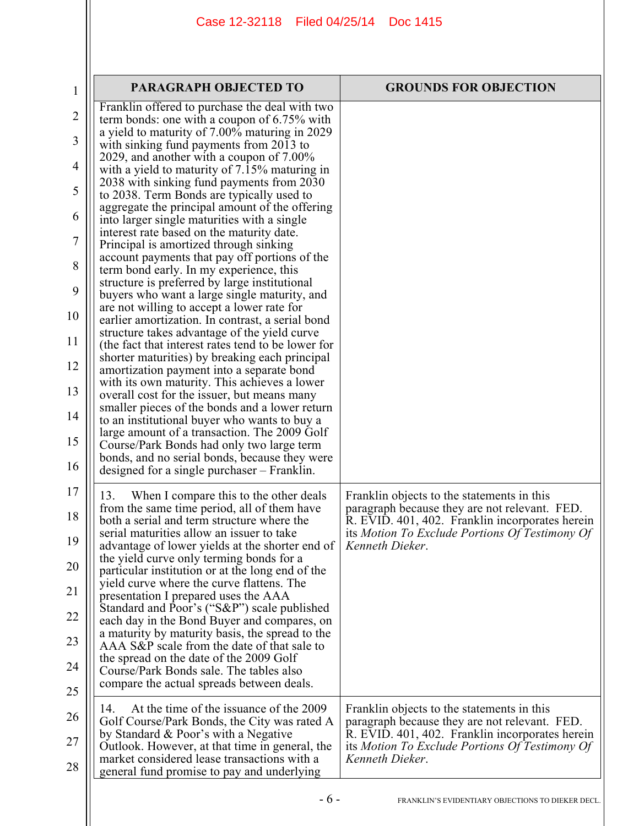| $\mathbf{1}$   | PARAGRAPH OBJECTED TO                                                                                                                     | <b>GROUNDS FOR OBJECTION</b>                                                                     |
|----------------|-------------------------------------------------------------------------------------------------------------------------------------------|--------------------------------------------------------------------------------------------------|
| 2              | Franklin offered to purchase the deal with two<br>term bonds: one with a coupon of $6.75\%$ with                                          |                                                                                                  |
| 3              | a yield to maturity of 7.00% maturing in 2029<br>with sinking fund payments from 2013 to                                                  |                                                                                                  |
| 4              | 2029, and another with a coupon of $7.00\%$<br>with a yield to maturity of 7.15% maturing in                                              |                                                                                                  |
| 5              | 2038 with sinking fund payments from 2030<br>to 2038. Term Bonds are typically used to                                                    |                                                                                                  |
| 6              | aggregate the principal amount of the offering<br>into larger single maturities with a single                                             |                                                                                                  |
| $\overline{7}$ | interest rate based on the maturity date.<br>Principal is amortized through sinking                                                       |                                                                                                  |
| 8              | account payments that pay off portions of the<br>term bond early. In my experience, this                                                  |                                                                                                  |
| 9              | structure is preferred by large institutional<br>buyers who want a large single maturity, and                                             |                                                                                                  |
| 10             | are not willing to accept a lower rate for<br>earlier amortization. In contrast, a serial bond                                            |                                                                                                  |
| 11             | structure takes advantage of the yield curve<br>(the fact that interest rates tend to be lower for                                        |                                                                                                  |
| 12             | shorter maturities) by breaking each principal<br>amortization payment into a separate bond                                               |                                                                                                  |
| 13             | with its own maturity. This achieves a lower<br>overall cost for the issuer, but means many                                               |                                                                                                  |
| 14             | smaller pieces of the bonds and a lower return<br>to an institutional buyer who wants to buy a                                            |                                                                                                  |
| 15             | large amount of a transaction. The 2009 Golf<br>Course/Park Bonds had only two large term                                                 |                                                                                                  |
| 16             | bonds, and no serial bonds, because they were<br>designed for a single purchaser – Franklin.                                              |                                                                                                  |
| 17             | When I compare this to the other deals<br>13.                                                                                             | Franklin objects to the statements in this                                                       |
| 18             | from the same time period, all of them have<br>both a serial and term structure where the<br>serial maturities allow an issuer to take    | paragraph because they are not relevant. FED.<br>R. EVID. 401, 402. Franklin incorporates herein |
| 19             | advantage of lower yields at the shorter end of                                                                                           | its Motion To Exclude Portions Of Testimony Of<br>Kenneth Dieker.                                |
| 20             | the yield curve only terming bonds for a<br>particular institution or at the long end of the<br>yield curve where the curve flattens. The |                                                                                                  |
| 21             | presentation I prepared uses the AAA<br>Standard and Poor's ("S&P") scale published                                                       |                                                                                                  |
| 22             | each day in the Bond Buyer and compares, on<br>a maturity by maturity basis, the spread to the                                            |                                                                                                  |
| 23             | AAA S&P scale from the date of that sale to<br>the spread on the date of the 2009 Golf                                                    |                                                                                                  |
| 24             | Course/Park Bonds sale. The tables also<br>compare the actual spreads between deals.                                                      |                                                                                                  |
| 25             | At the time of the issuance of the 2009<br>14.                                                                                            | Franklin objects to the statements in this                                                       |
| 26             | Golf Course/Park Bonds, the City was rated A<br>by Standard & Poor's with a Negative                                                      | paragraph because they are not relevant. FED.<br>R. EVID. 401, 402. Franklin incorporates herein |
| 27             | Outlook. However, at that time in general, the<br>market considered lease transactions with a                                             | its Motion To Exclude Portions Of Testimony Of<br>Kenneth Dieker.                                |
| 28             | general fund promise to pay and underlying                                                                                                |                                                                                                  |
|                | $-6-$                                                                                                                                     | FRANKLIN'S EVIDENTIARY OBJECTIONS TO DIEKER DECL.                                                |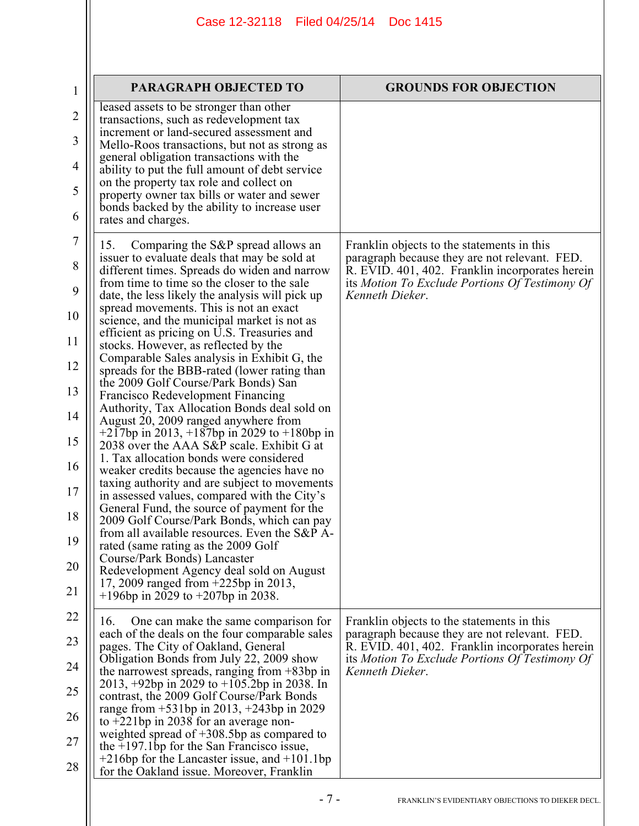| $\mathbf{1}$ | <b>PARAGRAPH OBJECTED TO</b>                                                                       | <b>GROUNDS FOR OBJECTION</b>                                                                      |
|--------------|----------------------------------------------------------------------------------------------------|---------------------------------------------------------------------------------------------------|
| 2            | leased assets to be stronger than other<br>transactions, such as redevelopment tax                 |                                                                                                   |
| 3            | increment or land-secured assessment and<br>Mello-Roos transactions, but not as strong as          |                                                                                                   |
| 4            | general obligation transactions with the<br>ability to put the full amount of debt service         |                                                                                                   |
| 5            | on the property tax role and collect on<br>property owner tax bills or water and sewer             |                                                                                                   |
| 6            | bonds backed by the ability to increase user<br>rates and charges.                                 |                                                                                                   |
| 7            | Comparing the S&P spread allows an<br>15.<br>issuer to evaluate deals that may be sold at          | Franklin objects to the statements in this<br>paragraph because they are not relevant. FED.       |
| 8            | different times. Spreads do widen and narrow<br>from time to time so the closer to the sale        | R. EVID. 401, 402. Franklin incorporates herein<br>its Motion To Exclude Portions Of Testimony Of |
| 9            | date, the less likely the analysis will pick up<br>spread movements. This is not an exact          | Kenneth Dieker.                                                                                   |
| 10           | science, and the municipal market is not as<br>efficient as pricing on U.S. Treasuries and         |                                                                                                   |
| 11           | stocks. However, as reflected by the<br>Comparable Sales analysis in Exhibit G, the                |                                                                                                   |
| 12           | spreads for the BBB-rated (lower rating than<br>the 2009 Golf Course/Park Bonds) San               |                                                                                                   |
| 13           | <b>Francisco Redevelopment Financing</b><br>Authority, Tax Allocation Bonds deal sold on           |                                                                                                   |
| 14           | August 20, 2009 ranged anywhere from<br>$+217$ bp in 2013, $+187$ bp in 2029 to $+180$ bp in       |                                                                                                   |
| 15           | 2038 over the AAA S&P scale. Exhibit G at<br>1. Tax allocation bonds were considered               |                                                                                                   |
| 16           | weaker credits because the agencies have no<br>taxing authority and are subject to movements       |                                                                                                   |
| 17           | in assessed values, compared with the City's<br>General Fund, the source of payment for the        |                                                                                                   |
| 18           | 2009 Golf Course/Park Bonds, which can pay<br>from all available resources. Even the S&P A-        |                                                                                                   |
| 19           | rated (same rating as the 2009 Golf<br>Course/Park Bonds) Lancaster                                |                                                                                                   |
| 20           | Redevelopment Agency deal sold on August<br>17, 2009 ranged from +225bp in 2013,                   |                                                                                                   |
| 21           | $+196$ bp in 2029 to $+207$ bp in 2038.                                                            |                                                                                                   |
| 22           | One can make the same comparison for<br>16.<br>each of the deals on the four comparable sales      | Franklin objects to the statements in this<br>paragraph because they are not relevant. FED.       |
| 23           | pages. The City of Oakland, General<br>Obligation Bonds from July 22, 2009 show                    | R. EVID. 401, 402. Franklin incorporates herein<br>its Motion To Exclude Portions Of Testimony Of |
| 24           | the narrowest spreads, ranging from $+83bp$ in<br>2013, $+92bp$ in 2029 to $+105.2bp$ in 2038. In  | Kenneth Dieker.                                                                                   |
| 25           | contrast, the 2009 Golf Course/Park Bonds<br>range from $+531$ bp in 2013, $+243$ bp in 2029       |                                                                                                   |
| 26           | to $+221$ bp in 2038 for an average non-<br>weighted spread of $+308.5$ bp as compared to          |                                                                                                   |
| 27           | the $+197.1$ bp for the San Francisco issue,<br>$+216$ bp for the Lancaster issue, and $+101.1$ bp |                                                                                                   |
| 28           | for the Oakland issue. Moreover, Franklin                                                          |                                                                                                   |
|              | $-7-$                                                                                              | FRANKLIN'S EVIDENTIARY OBJECTIONS TO DIEKER DECL.                                                 |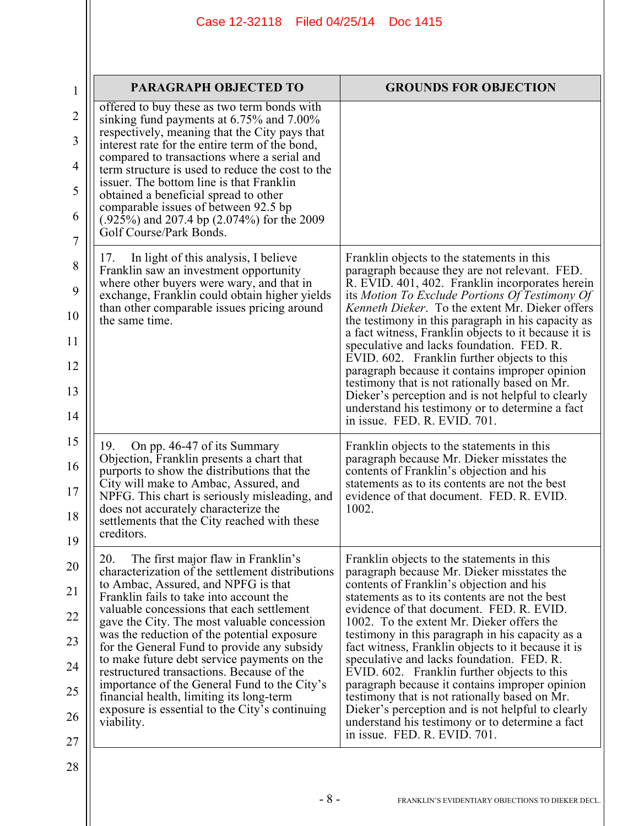| PARAGRAPH OBJECTED TO                                                                                                                                                          | <b>GROUNDS FOR OBJECTION</b>                                                                                                                                                                                                                                       |
|--------------------------------------------------------------------------------------------------------------------------------------------------------------------------------|--------------------------------------------------------------------------------------------------------------------------------------------------------------------------------------------------------------------------------------------------------------------|
| offered to buy these as two term bonds with                                                                                                                                    |                                                                                                                                                                                                                                                                    |
| sinking fund payments at 6.75% and 7.00%<br>respectively, meaning that the City pays that<br>interest rate for the entire term of the bond,                                    |                                                                                                                                                                                                                                                                    |
| compared to transactions where a serial and<br>term structure is used to reduce the cost to the<br>issuer. The bottom line is that Franklin                                    |                                                                                                                                                                                                                                                                    |
| obtained a beneficial spread to other<br>comparable issues of between 92.5 bp                                                                                                  |                                                                                                                                                                                                                                                                    |
| (.925%) and 207.4 bp (2.074%) for the 2009<br>Golf Course/Park Bonds.                                                                                                          |                                                                                                                                                                                                                                                                    |
| In light of this analysis, I believe<br>17.<br>Franklin saw an investment opportunity                                                                                          | Franklin objects to the statements in this<br>paragraph because they are not relevant. FED.                                                                                                                                                                        |
| where other buyers were wary, and that in<br>exchange, Franklin could obtain higher yields<br>than other comparable issues pricing around<br>the same time.                    | R. EVID. 401, 402. Franklin incorporates herein<br>its Motion To Exclude Portions Of Testimony Of<br>Kenneth Dieker. To the extent Mr. Dieker offers<br>the testimony in this paragraph in his capacity as<br>a fact witness, Franklin objects to it because it is |
|                                                                                                                                                                                | speculative and lacks foundation. FED. R.<br>EVID. 602. Franklin further objects to this                                                                                                                                                                           |
|                                                                                                                                                                                | paragraph because it contains improper opinion<br>testimony that is not rationally based on Mr.                                                                                                                                                                    |
|                                                                                                                                                                                | Dieker's perception and is not helpful to clearly<br>understand his testimony or to determine a fact<br>in issue. FED, R. EVID, 701.                                                                                                                               |
| On pp. 46-47 of its Summary<br>19.<br>Objection, Franklin presents a chart that<br>purports to show the distributions that the                                                 | Franklin objects to the statements in this<br>paragraph because Mr. Dieker misstates the<br>contents of Franklin's objection and his<br>statements as to its contents are not the best                                                                             |
| City will make to Ambac, Assured, and<br>NPFG. This chart is seriously misleading, and<br>does not accurately characterize the<br>settlements that the City reached with these | evidence of that document. FED. R. EVID.<br>1002.                                                                                                                                                                                                                  |
| creditors                                                                                                                                                                      |                                                                                                                                                                                                                                                                    |
| 20.<br>The first major flaw in Franklin's<br>characterization of the settlement distributions                                                                                  | Franklin objects to the statements in this<br>paragraph because Mr. Dieker misstates the                                                                                                                                                                           |
| to Ambac, Assured, and NPFG is that<br>Franklin fails to take into account the<br>valuable concessions that each settlement                                                    | contents of Franklin's objection and his<br>statements as to its contents are not the best<br>evidence of that document. FED. R. EVID.                                                                                                                             |
| gave the City. The most valuable concession<br>was the reduction of the potential exposure                                                                                     | 1002. To the extent Mr. Dieker offers the<br>testimony in this paragraph in his capacity as a                                                                                                                                                                      |
| for the General Fund to provide any subsidy<br>to make future debt service payments on the<br>restructured transactions. Because of the                                        | fact witness, Franklin objects to it because it is<br>speculative and lacks foundation. FED. R.<br>EVID. 602. Franklin further objects to this                                                                                                                     |
| importance of the General Fund to the City's<br>financial health, limiting its long-term                                                                                       | paragraph because it contains improper opinion<br>testimony that is not rationally based on Mr.                                                                                                                                                                    |
| exposure is essential to the City's continuing<br>viability.                                                                                                                   | Dieker's perception and is not helpful to clearly<br>understand his testimony or to determine a fact<br>in issue. FED. R. EVID. 701.                                                                                                                               |
|                                                                                                                                                                                |                                                                                                                                                                                                                                                                    |
|                                                                                                                                                                                |                                                                                                                                                                                                                                                                    |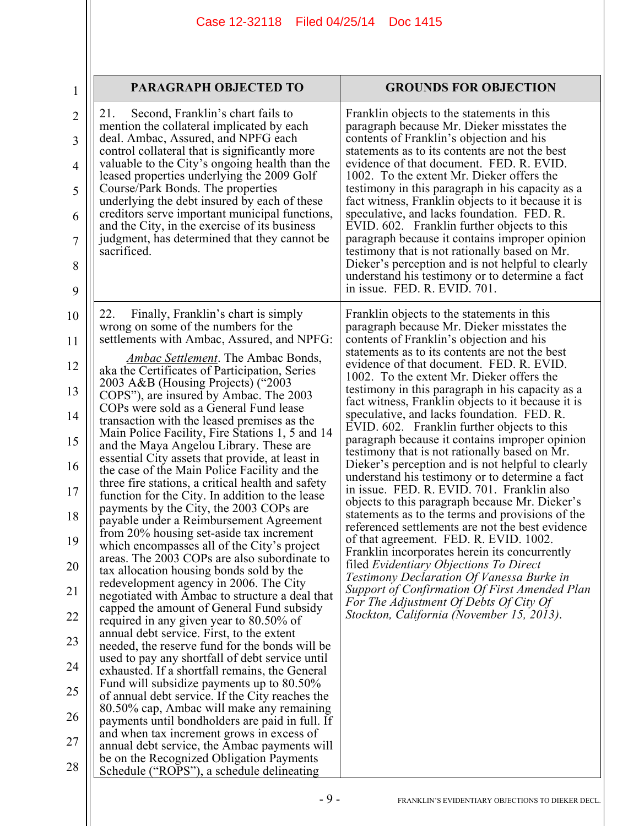| 1                   | PARAGRAPH OBJECTED TO                                                                                                                        | <b>GROUNDS FOR OBJECTION</b>                                                                                                                    |
|---------------------|----------------------------------------------------------------------------------------------------------------------------------------------|-------------------------------------------------------------------------------------------------------------------------------------------------|
| $\overline{2}$<br>3 | Second, Franklin's chart fails to<br>21.<br>mention the collateral implicated by each<br>deal. Ambac, Assured, and NPFG each                 | Franklin objects to the statements in this<br>paragraph because Mr. Dieker misstates the<br>contents of Franklin's objection and his            |
| $\overline{4}$      | control collateral that is significantly more<br>valuable to the City's ongoing health than the                                              | statements as to its contents are not the best<br>evidence of that document. FED. R. EVID.                                                      |
| 5                   | leased properties underlying the 2009 Golf<br>Course/Park Bonds. The properties<br>underlying the debt insured by each of these              | 1002. To the extent Mr. Dieker offers the<br>testimony in this paragraph in his capacity as a                                                   |
| 6                   | creditors serve important municipal functions,<br>and the City, in the exercise of its business                                              | fact witness, Franklin objects to it because it is<br>speculative, and lacks foundation. FED. R.<br>EVID. 602. Franklin further objects to this |
| $\overline{7}$      | judgment, has determined that they cannot be<br>sacrificed.                                                                                  | paragraph because it contains improper opinion<br>testimony that is not rationally based on Mr.                                                 |
| 8<br>9              |                                                                                                                                              | Dieker's perception and is not helpful to clearly<br>understand his testimony or to determine a fact<br>in issue. FED. R. EVID. 701.            |
| 10                  | 22.<br>Finally, Franklin's chart is simply                                                                                                   | Franklin objects to the statements in this                                                                                                      |
| 11                  | wrong on some of the numbers for the<br>settlements with Ambac, Assured, and NPFG:                                                           | paragraph because Mr. Dieker misstates the<br>contents of Franklin's objection and his                                                          |
| 12                  | <i>Ambac Settlement.</i> The Ambac Bonds,<br>aka the Certificates of Participation, Series                                                   | statements as to its contents are not the best<br>evidence of that document. FED. R. EVID.                                                      |
| 13                  | 2003 A&B (Housing Projects) ("2003<br>COPS"), are insured by Ambac. The 2003                                                                 | 1002. To the extent Mr. Dieker offers the<br>testimony in this paragraph in his capacity as a                                                   |
| 14                  | COPs were sold as a General Fund lease<br>transaction with the leased premises as the                                                        | fact witness, Franklin objects to it because it is<br>speculative, and lacks foundation. FED. R.                                                |
| 15                  | Main Police Facility, Fire Stations 1, 5 and 14<br>and the Maya Angelou Library. These are                                                   | EVID. 602. Franklin further objects to this<br>paragraph because it contains improper opinion<br>testimony that is not rationally based on Mr.  |
| 16                  | essential City assets that provide, at least in<br>the case of the Main Police Facility and the                                              | Dieker's perception and is not helpful to clearly<br>understand his testimony or to determine a fact                                            |
| 17                  | three fire stations, a critical health and safety<br>function for the City. In addition to the lease                                         | in issue. FED. R. EVID. 701. Franklin also<br>objects to this paragraph because Mr. Dieker's                                                    |
| 18                  | payments by the City, the 2003 COPs are<br>payable under a Reimbursement Agreement<br>from 20% housing set-aside tax increment               | statements as to the terms and provisions of the<br>referenced settlements are not the best evidence                                            |
| 19                  | which encompasses all of the City's project<br>areas. The 2003 COPs are also subordinate to                                                  | of that agreement. FED. R. EVID. 1002.<br>Franklin incorporates herein its concurrently                                                         |
| 20                  | tax allocation housing bonds sold by the<br>redevelopment agency in 2006. The City                                                           | filed Evidentiary Objections To Direct<br>Testimony Declaration Of Vanessa Burke in                                                             |
| 21                  | negotiated with Ambac to structure a deal that<br>capped the amount of General Fund subsidy                                                  | Support of Confirmation Of First Amended Plan<br>For The Adjustment Of Debts Of City Of                                                         |
| 22                  | required in any given year to 80.50% of<br>annual debt service. First, to the extent                                                         | Stockton, California (November 15, 2013).                                                                                                       |
| 23                  | needed, the reserve fund for the bonds will be<br>used to pay any shortfall of debt service until                                            |                                                                                                                                                 |
| 24<br>25            | exhausted. If a shortfall remains, the General<br>Fund will subsidize payments up to 80.50%                                                  |                                                                                                                                                 |
| 26                  | of annual debt service. If the City reaches the<br>80.50% cap, Ambac will make any remaining                                                 |                                                                                                                                                 |
| 27                  | payments until bondholders are paid in full. If<br>and when tax increment grows in excess of<br>annual debt service, the Ambac payments will |                                                                                                                                                 |
| 28                  | be on the Recognized Obligation Payments<br>Schedule ("ROPS"), a schedule delineating                                                        |                                                                                                                                                 |
|                     |                                                                                                                                              |                                                                                                                                                 |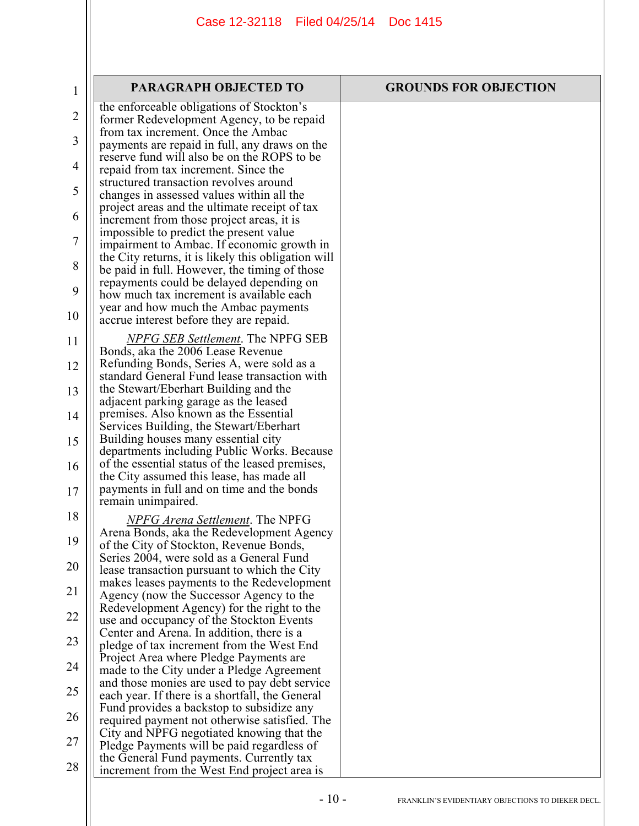| $\mathbf{1}$   | PARAGRAPH OBJECTED TO                                                                                                                    | <b>GROUNDS FOR OBJECTION</b> |
|----------------|------------------------------------------------------------------------------------------------------------------------------------------|------------------------------|
| $\overline{2}$ | the enforceable obligations of Stockton's<br>former Redevelopment Agency, to be repaid                                                   |                              |
| 3              | from tax increment. Once the Ambac                                                                                                       |                              |
|                | payments are repaid in full, any draws on the<br>reserve fund will also be on the ROPS to be                                             |                              |
| $\overline{4}$ | repaid from tax increment. Since the<br>structured transaction revolves around                                                           |                              |
| 5              | changes in assessed values within all the                                                                                                |                              |
| 6              | project areas and the ultimate receipt of tax<br>increment from those project areas, it is                                               |                              |
| 7              | impossible to predict the present value<br>impairment to Ambac. If economic growth in                                                    |                              |
| 8              | the City returns, it is likely this obligation will<br>be paid in full. However, the timing of those                                     |                              |
| 9              | repayments could be delayed depending on                                                                                                 |                              |
| 10             | how much tax increment is available each<br>year and how much the Ambac payments<br>accrue interest before they are repaid.              |                              |
| 11             | <b>NPFG SEB Settlement. The NPFG SEB</b><br>Bonds, aka the 2006 Lease Revenue                                                            |                              |
| 12             | Refunding Bonds, Series A, were sold as a<br>standard General Fund lease transaction with                                                |                              |
| 13             | the Stewart/Eberhart Building and the<br>adjacent parking garage as the leased                                                           |                              |
| 14             | premises. Also known as the Essential                                                                                                    |                              |
| 15             | Services Building, the Stewart/Eberhart<br>Building houses many essential city<br>departments including Public Works. Because            |                              |
| 16             | of the essential status of the leased premises,<br>the City assumed this lease, has made all                                             |                              |
| 17             | payments in full and on time and the bonds<br>remain unimpaired.                                                                         |                              |
| 18             | <b>NPFG Arena Settlement.</b> The NPFG                                                                                                   |                              |
| 19             | Arena Bonds, aka the Redevelopment Agency<br>of the City of Stockton, Revenue Bonds,                                                     |                              |
| 20             | Series 2004, were sold as a General Fund<br>lease transaction pursuant to which the City                                                 |                              |
| 21             | makes leases payments to the Redevelopment<br>Agency (now the Successor Agency to the                                                    |                              |
| 22             | Redevelopment Agency) for the right to the<br>use and occupancy of the Stockton Events                                                   |                              |
| 23             | Center and Arena. In addition, there is a                                                                                                |                              |
| 24             | pledge of tax increment from the West End<br>Project Area where Pledge Payments are<br>made to the City under a Pledge Agreement         |                              |
| 25             | and those monies are used to pay debt service<br>each year. If there is a shortfall, the General                                         |                              |
| 26             | Fund provides a backstop to subsidize any                                                                                                |                              |
| 27             | required payment not otherwise satisfied. The<br>City and NPFG negotiated knowing that the<br>Pledge Payments will be paid regardless of |                              |
| 28             | the General Fund payments. Currently tax<br>increment from the West End project area is                                                  |                              |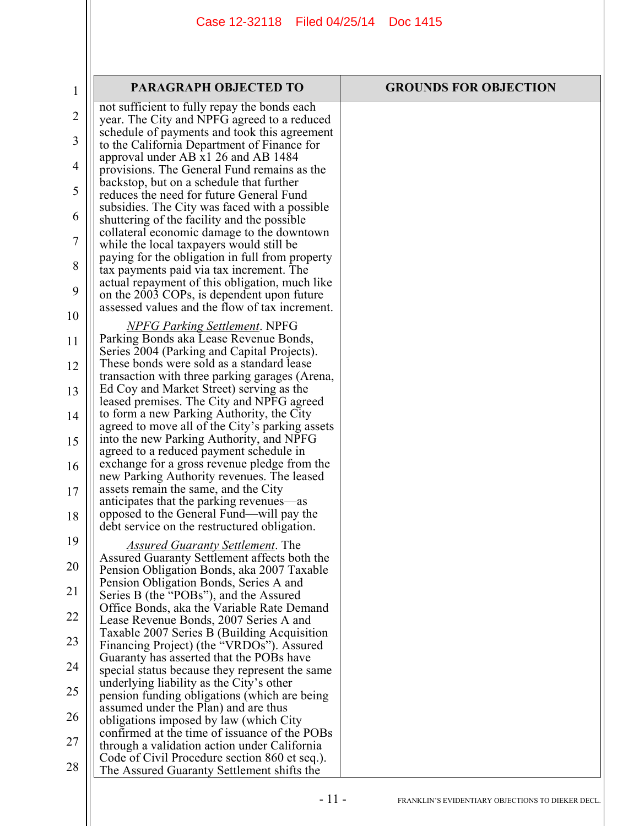| 1              | <b>PARAGRAPH OBJECTED TO</b>                                                                 | <b>GROUNDS FOR OBJECTION</b> |
|----------------|----------------------------------------------------------------------------------------------|------------------------------|
| $\overline{2}$ | not sufficient to fully repay the bonds each                                                 |                              |
|                | year. The City and NPFG agreed to a reduced<br>schedule of payments and took this agreement  |                              |
| 3              | to the California Department of Finance for                                                  |                              |
| 4              | approval under AB x1 26 and AB 1484<br>provisions. The General Fund remains as the           |                              |
| 5              | backstop, but on a schedule that further                                                     |                              |
|                | reduces the need for future General Fund<br>subsidies. The City was faced with a possible    |                              |
| 6              | shuttering of the facility and the possible                                                  |                              |
| 7              | collateral economic damage to the downtown                                                   |                              |
|                | while the local taxpayers would still be<br>paying for the obligation in full from property  |                              |
| 8              | tax payments paid via tax increment. The                                                     |                              |
| 9              | actual repayment of this obligation, much like<br>on the 2003 COPs, is dependent upon future |                              |
| 10             | assessed values and the flow of tax increment.                                               |                              |
|                | <b>NPFG Parking Settlement. NPFG</b>                                                         |                              |
| 11             | Parking Bonds aka Lease Revenue Bonds,<br>Series 2004 (Parking and Capital Projects).        |                              |
| 12             | These bonds were sold as a standard lease                                                    |                              |
|                | transaction with three parking garages (Arena,<br>Ed Coy and Market Street) serving as the   |                              |
| 13             | leased premises. The City and NPFG agreed                                                    |                              |
| 14             | to form a new Parking Authority, the City                                                    |                              |
| 15             | agreed to move all of the City's parking assets<br>into the new Parking Authority, and NPFG  |                              |
|                | agreed to a reduced payment schedule in                                                      |                              |
| 16             | exchange for a gross revenue pledge from the<br>new Parking Authority revenues. The leased   |                              |
| 17             | assets remain the same, and the City                                                         |                              |
| 18             | anticipates that the parking revenues—as<br>opposed to the General Fund—will pay the         |                              |
|                | debt service on the restructured obligation.                                                 |                              |
| 19             | <b>Assured Guaranty Settlement. The</b>                                                      |                              |
| 20             | Assured Guaranty Settlement affects both the<br>Pension Obligation Bonds, aka 2007 Taxable   |                              |
| 21             | Pension Obligation Bonds, Series A and                                                       |                              |
|                | Series B (the "POBs"), and the Assured<br>Office Bonds, aka the Variable Rate Demand         |                              |
| 22             | Lease Revenue Bonds, 2007 Series A and                                                       |                              |
| 23             | Taxable 2007 Series B (Building Acquisition<br>Financing Project) (the "VRDOs"). Assured     |                              |
|                | Guaranty has asserted that the POBs have                                                     |                              |
| 24             | special status because they represent the same<br>underlying liability as the City's other   |                              |
| 25             | pension funding obligations (which are being                                                 |                              |
| 26             | assumed under the Plan) and are thus<br>obligations imposed by law (which City               |                              |
|                | confirmed at the time of issuance of the POBs                                                |                              |
| 27             | through a validation action under California                                                 |                              |
| 28             | Code of Civil Procedure section 860 et seq.).<br>The Assured Guaranty Settlement shifts the  |                              |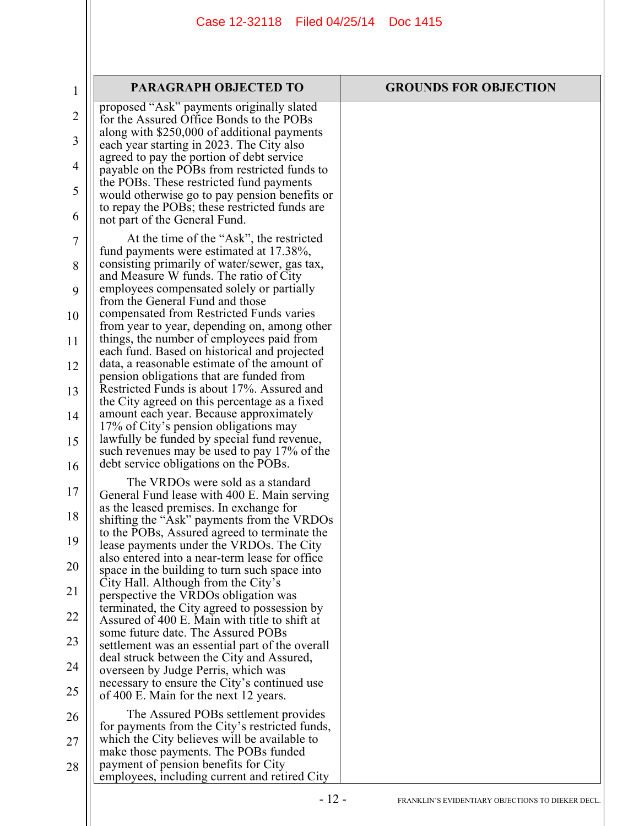| $\mathbf 1$    | <b>PARAGRAPH OBJECTED TO</b>                                                                 | <b>GROUNDS FOR OBJECTION</b> |
|----------------|----------------------------------------------------------------------------------------------|------------------------------|
| $\overline{2}$ | proposed "Ask" payments originally slated<br>for the Assured Office Bonds to the POBs        |                              |
| 3              | along with \$250,000 of additional payments                                                  |                              |
|                | each year starting in 2023. The City also<br>agreed to pay the portion of debt service       |                              |
| 4              | payable on the POBs from restricted funds to                                                 |                              |
| 5              | the POBs. These restricted fund payments<br>would otherwise go to pay pension benefits or    |                              |
| 6              | to repay the POBs; these restricted funds are<br>not part of the General Fund.               |                              |
| $\overline{7}$ | At the time of the "Ask", the restricted                                                     |                              |
| 8              | fund payments were estimated at 17.38%,<br>consisting primarily of water/sewer, gas tax,     |                              |
| 9              | and Measure W funds. The ratio of City<br>employees compensated solely or partially          |                              |
|                | from the General Fund and those                                                              |                              |
| 10             | compensated from Restricted Funds varies<br>from year to year, depending on, among other     |                              |
| 11             | things, the number of employees paid from                                                    |                              |
| 12             | each fund. Based on historical and projected<br>data, a reasonable estimate of the amount of |                              |
|                | pension obligations that are funded from<br>Restricted Funds is about 17%. Assured and       |                              |
| 13             | the City agreed on this percentage as a fixed                                                |                              |
| 14             | amount each year. Because approximately<br>17% of City's pension obligations may             |                              |
| 15             | lawfully be funded by special fund revenue,                                                  |                              |
| 16             | such revenues may be used to pay 17% of the<br>debt service obligations on the POBs.         |                              |
|                | The VRDOs were sold as a standard                                                            |                              |
| 17             | General Fund lease with 400 E. Main serving<br>as the leased premises. In exchange for       |                              |
| 18             | shifting the "Ask" payments from the VRDOs                                                   |                              |
| 19             | to the POBs, Assured agreed to terminate the<br>lease payments under the VRDOs. The City     |                              |
| 20             | also entered into a near-term lease for office                                               |                              |
|                | space in the building to turn such space into<br>City Hall. Although from the City's         |                              |
| 21             | perspective the VRDOs obligation was<br>terminated, the City agreed to possession by         |                              |
| 22             | Assured of 400 E. Main with title to shift at                                                |                              |
| 23             | some future date. The Assured POBs<br>settlement was an essential part of the overall        |                              |
| 24             | deal struck between the City and Assured,                                                    |                              |
|                | overseen by Judge Perris, which was<br>necessary to ensure the City's continued use          |                              |
| 25             | of 400 E. Main for the next 12 years.                                                        |                              |
| 26             | The Assured POBs settlement provides<br>for payments from the City's restricted funds,       |                              |
| 27             | which the City believes will be available to                                                 |                              |
| 28             | make those payments. The POBs funded<br>payment of pension benefits for City                 |                              |
|                | employees, including current and retired City                                                |                              |